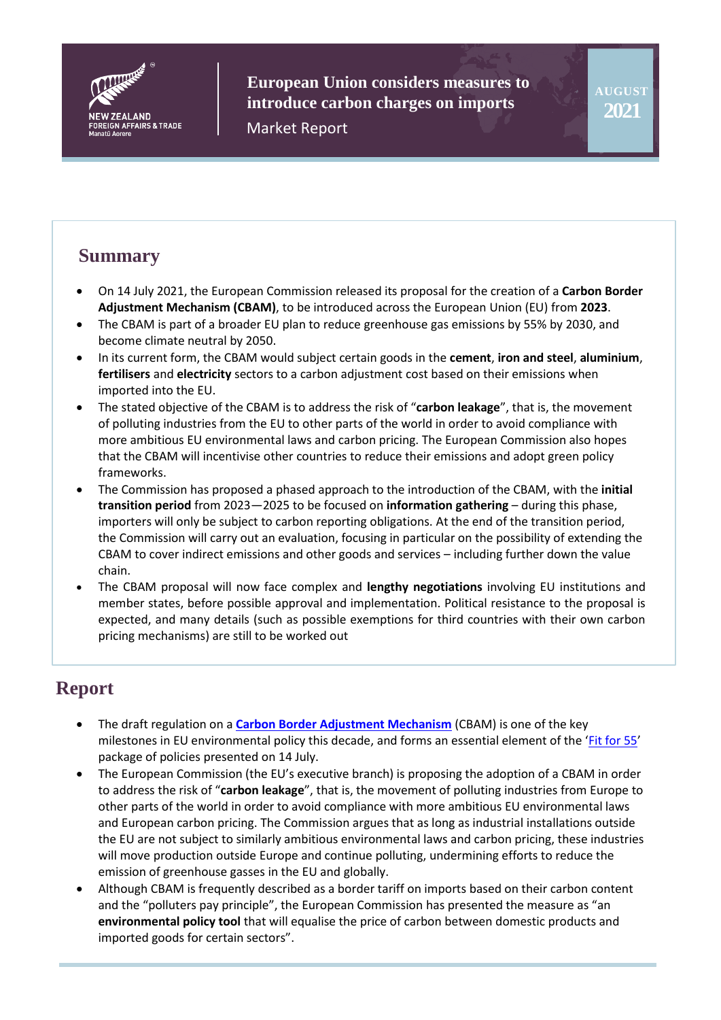

**European Union considers measures to introduce carbon charges on imports** Market Report

# **Summary**

- On 14 July 2021, the European Commission released its proposal for the creation of a **Carbon Border Adjustment Mechanism (CBAM)**, to be introduced across the European Union (EU) from **2023**.
- The CBAM is part of a broader EU plan to reduce greenhouse gas emissions by 55% by 2030, and become climate neutral by 2050.
- In its current form, the CBAM would subject certain goods in the **cement**, **iron and steel**, **aluminium**, **fertilisers** and **electricity** sectors to a carbon adjustment cost based on their emissions when imported into the EU.
- The stated objective of the CBAM is to address the risk of "**carbon leakage**", that is, the movement of polluting industries from the EU to other parts of the world in order to avoid compliance with more ambitious EU environmental laws and carbon pricing. The European Commission also hopes that the CBAM will incentivise other countries to reduce their emissions and adopt green policy frameworks.
- The Commission has proposed a phased approach to the introduction of the CBAM, with the **initial transition period** from 2023—2025 to be focused on **information gathering** – during this phase, importers will only be subject to carbon reporting obligations. At the end of the transition period, the Commission will carry out an evaluation, focusing in particular on the possibility of extending the CBAM to cover indirect emissions and other goods and services – including further down the value chain.
- The CBAM proposal will now face complex and **lengthy negotiations** involving EU institutions and member states, before possible approval and implementation. Political resistance to the proposal is expected, and many details (such as possible exemptions for third countries with their own carbon pricing mechanisms) are still to be worked out

# **Report**

- The draft regulation on a **[Carbon Border Adjustment Mechanism](https://ec.europa.eu/info/sites/default/files/carbon_border_adjustment_mechanism_0.pdf)** (CBAM) is one of the key milestones in EU environmental policy this decade, and forms an essential element of the '[Fit for 55](https://ec.europa.eu/commission/presscorner/detail/en/IP_21_3541)' package of policies presented on 14 July.
- The European Commission (the EU's executive branch) is proposing the adoption of a CBAM in order to address the risk of "**carbon leakage**", that is, the movement of polluting industries from Europe to other parts of the world in order to avoid compliance with more ambitious EU environmental laws and European carbon pricing. The Commission argues that as long as industrial installations outside the EU are not subject to similarly ambitious environmental laws and carbon pricing, these industries will move production outside Europe and continue polluting, undermining efforts to reduce the emission of greenhouse gasses in the EU and globally.
- Although CBAM is frequently described as a border tariff on imports based on their carbon content and the "polluters pay principle", the European Commission has presented the measure as "an **environmental policy tool** that will equalise the price of carbon between domestic products and imported goods for certain sectors".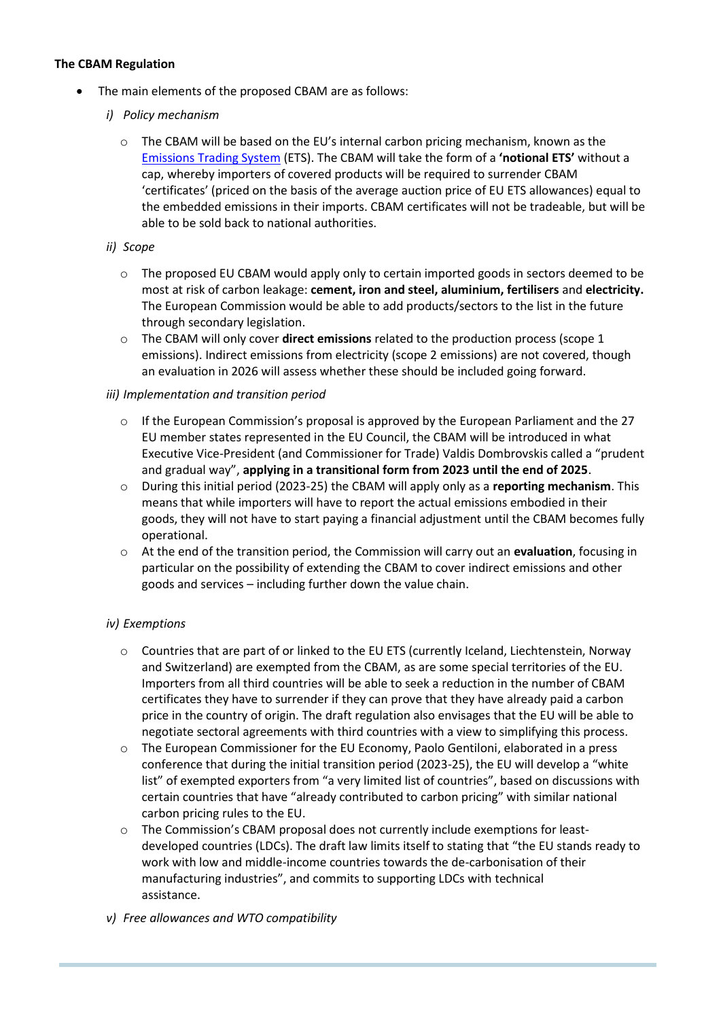#### **The CBAM Regulation**

- The main elements of the proposed CBAM are as follows:
	- *i) Policy mechanism* 
		- $\circ$  The CBAM will be based on the EU's internal carbon pricing mechanism, known as the [Emissions Trading System](https://ec.europa.eu/clima/policies/ets_en) (ETS). The CBAM will take the form of a **'notional ETS'** without a cap, whereby importers of covered products will be required to surrender CBAM 'certificates' (priced on the basis of the average auction price of EU ETS allowances) equal to the embedded emissions in their imports. CBAM certificates will not be tradeable, but will be able to be sold back to national authorities.

#### *ii) Scope*

- $\circ$  The proposed EU CBAM would apply only to certain imported goods in sectors deemed to be most at risk of carbon leakage: **cement, iron and steel, aluminium, fertilisers** and **electricity.**  The European Commission would be able to add products/sectors to the list in the future through secondary legislation.
- o The CBAM will only cover **direct emissions** related to the production process (scope 1 emissions). Indirect emissions from electricity (scope 2 emissions) are not covered, though an evaluation in 2026 will assess whether these should be included going forward.

#### *iii) Implementation and transition period*

- $\circ$  If the European Commission's proposal is approved by the European Parliament and the 27 EU member states represented in the EU Council, the CBAM will be introduced in what Executive Vice-President (and Commissioner for Trade) Valdis Dombrovskis called a "prudent and gradual way", **applying in a transitional form from 2023 until the end of 2025**.
- o During this initial period (2023-25) the CBAM will apply only as a **reporting mechanism**. This means that while importers will have to report the actual emissions embodied in their goods, they will not have to start paying a financial adjustment until the CBAM becomes fully operational.
- o At the end of the transition period, the Commission will carry out an **evaluation**, focusing in particular on the possibility of extending the CBAM to cover indirect emissions and other goods and services – including further down the value chain.

#### *iv) Exemptions*

- o Countries that are part of or linked to the EU ETS (currently Iceland, Liechtenstein, Norway and Switzerland) are exempted from the CBAM, as are some special territories of the EU. Importers from all third countries will be able to seek a reduction in the number of CBAM certificates they have to surrender if they can prove that they have already paid a carbon price in the country of origin. The draft regulation also envisages that the EU will be able to negotiate sectoral agreements with third countries with a view to simplifying this process.
- o The European Commissioner for the EU Economy, Paolo Gentiloni, elaborated in a press conference that during the initial transition period (2023-25), the EU will develop a "white list" of exempted exporters from "a very limited list of countries", based on discussions with certain countries that have "already contributed to carbon pricing" with similar national carbon pricing rules to the EU.
- o The Commission's CBAM proposal does not currently include exemptions for leastdeveloped countries (LDCs). The draft law limits itself to stating that "the EU stands ready to work with low and middle-income countries towards the de-carbonisation of their manufacturing industries", and commits to supporting LDCs with technical assistance.
- *v) Free allowances and WTO compatibility*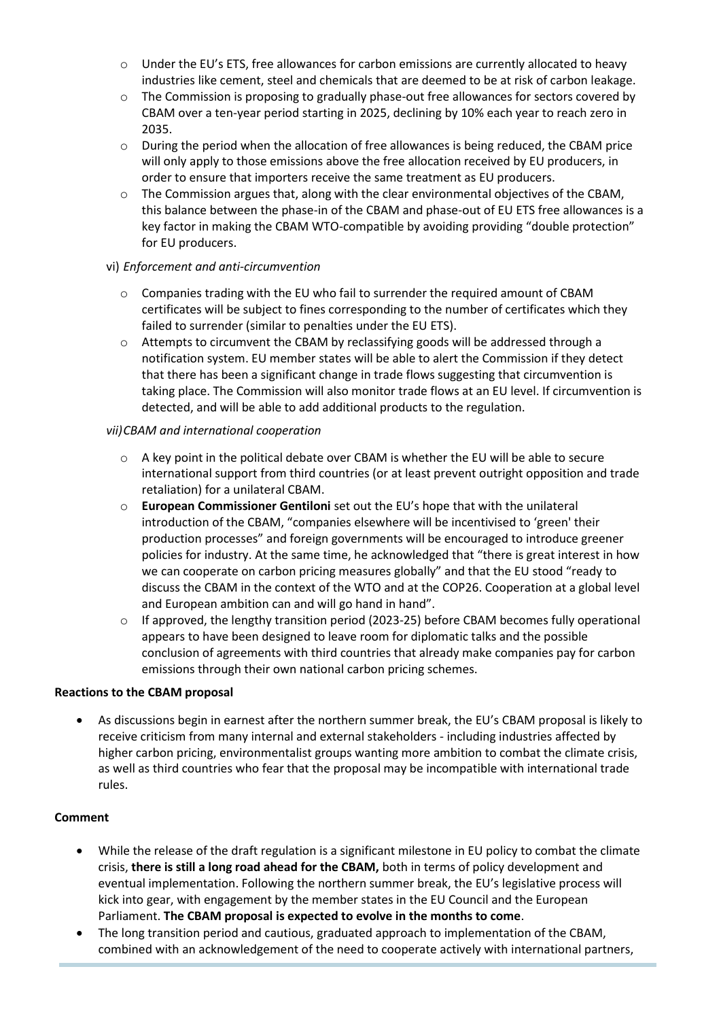- $\circ$  Under the EU's ETS, free allowances for carbon emissions are currently allocated to heavy industries like cement, steel and chemicals that are deemed to be at risk of carbon leakage.
- $\circ$  The Commission is proposing to gradually phase-out free allowances for sectors covered by CBAM over a ten-year period starting in 2025, declining by 10% each year to reach zero in 2035.
- $\circ$  During the period when the allocation of free allowances is being reduced, the CBAM price will only apply to those emissions above the free allocation received by EU producers, in order to ensure that importers receive the same treatment as EU producers.
- $\circ$  The Commission argues that, along with the clear environmental objectives of the CBAM, this balance between the phase-in of the CBAM and phase-out of EU ETS free allowances is a key factor in making the CBAM WTO-compatible by avoiding providing "double protection" for EU producers.

#### vi) *Enforcement and anti-circumvention*

- o Companies trading with the EU who fail to surrender the required amount of CBAM certificates will be subject to fines corresponding to the number of certificates which they failed to surrender (similar to penalties under the EU ETS).
- o Attempts to circumvent the CBAM by reclassifying goods will be addressed through a notification system. EU member states will be able to alert the Commission if they detect that there has been a significant change in trade flows suggesting that circumvention is taking place. The Commission will also monitor trade flows at an EU level. If circumvention is detected, and will be able to add additional products to the regulation.

#### *vii)CBAM and international cooperation*

- $\circ$  A key point in the political debate over CBAM is whether the EU will be able to secure international support from third countries (or at least prevent outright opposition and trade retaliation) for a unilateral CBAM.
- o **European Commissioner Gentiloni** set out the EU's hope that with the unilateral introduction of the CBAM, "companies elsewhere will be incentivised to 'green' their production processes" and foreign governments will be encouraged to introduce greener policies for industry. At the same time, he acknowledged that "there is great interest in how we can cooperate on carbon pricing measures globally" and that the EU stood "ready to discuss the CBAM in the context of the WTO and at the COP26. Cooperation at a global level and European ambition can and will go hand in hand".
- $\circ$  If approved, the lengthy transition period (2023-25) before CBAM becomes fully operational appears to have been designed to leave room for diplomatic talks and the possible conclusion of agreements with third countries that already make companies pay for carbon emissions through their own national carbon pricing schemes.

#### **Reactions to the CBAM proposal**

 As discussions begin in earnest after the northern summer break, the EU's CBAM proposal is likely to receive criticism from many internal and external stakeholders - including industries affected by higher carbon pricing, environmentalist groups wanting more ambition to combat the climate crisis, as well as third countries who fear that the proposal may be incompatible with international trade rules.

#### **Comment**

- While the release of the draft regulation is a significant milestone in EU policy to combat the climate crisis, **there is still a long road ahead for the CBAM,** both in terms of policy development and eventual implementation. Following the northern summer break, the EU's legislative process will kick into gear, with engagement by the member states in the EU Council and the European Parliament. **The CBAM proposal is expected to evolve in the months to come**.
- The long transition period and cautious, graduated approach to implementation of the CBAM, combined with an acknowledgement of the need to cooperate actively with international partners,